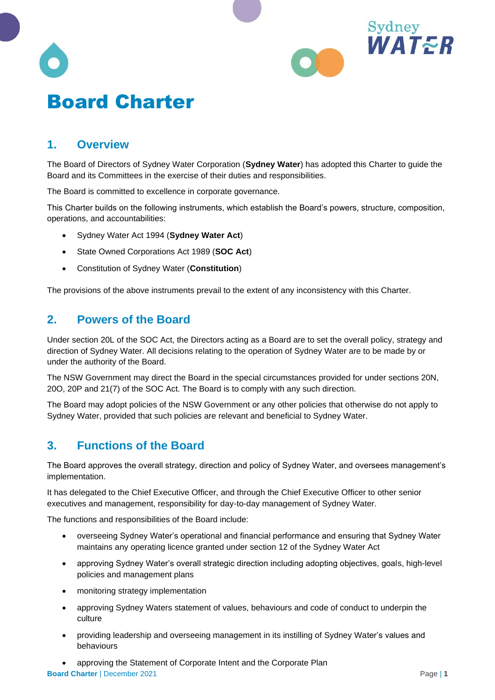

# **1. Overview**

The Board of Directors of Sydney Water Corporation (**Sydney Water**) has adopted this Charter to guide the Board and its Committees in the exercise of their duties and responsibilities.

The Board is committed to excellence in corporate governance.

This Charter builds on the following instruments, which establish the Board's powers, structure, composition, operations, and accountabilities:

- Sydney Water Act 1994 (**Sydney Water Act**)
- State Owned Corporations Act 1989 (**SOC Act**)
- Constitution of Sydney Water (**Constitution**)

The provisions of the above instruments prevail to the extent of any inconsistency with this Charter.

## **2. Powers of the Board**

Under section 20L of the SOC Act, the Directors acting as a Board are to set the overall policy, strategy and direction of Sydney Water. All decisions relating to the operation of Sydney Water are to be made by or under the authority of the Board.

The NSW Government may direct the Board in the special circumstances provided for under sections 20N, 20O, 20P and 21(7) of the SOC Act. The Board is to comply with any such direction.

The Board may adopt policies of the NSW Government or any other policies that otherwise do not apply to Sydney Water, provided that such policies are relevant and beneficial to Sydney Water.

## **3. Functions of the Board**

The Board approves the overall strategy, direction and policy of Sydney Water, and oversees management's implementation.

It has delegated to the Chief Executive Officer, and through the Chief Executive Officer to other senior executives and management, responsibility for day-to-day management of Sydney Water.

The functions and responsibilities of the Board include:

- overseeing Sydney Water's operational and financial performance and ensuring that Sydney Water maintains any operating licence granted under section 12 of the Sydney Water Act
- approving Sydney Water's overall strategic direction including adopting objectives, goals, high-level policies and management plans
- monitoring strategy implementation
- approving Sydney Waters statement of values, behaviours and code of conduct to underpin the culture
- providing leadership and overseeing management in its instilling of Sydney Water's values and behaviours
- **Board Charter** | December 2021 **Page | 1 Page | 1** • approving the Statement of Corporate Intent and the Corporate Plan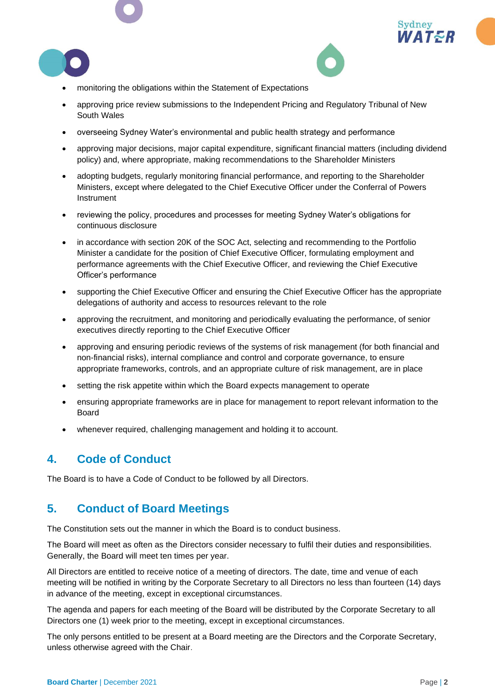





- monitoring the obligations within the Statement of Expectations
- approving price review submissions to the Independent Pricing and Regulatory Tribunal of New South Wales
- overseeing Sydney Water's environmental and public health strategy and performance
- approving major decisions, major capital expenditure, significant financial matters (including dividend policy) and, where appropriate, making recommendations to the Shareholder Ministers
- adopting budgets, regularly monitoring financial performance, and reporting to the Shareholder Ministers, except where delegated to the Chief Executive Officer under the Conferral of Powers Instrument
- reviewing the policy, procedures and processes for meeting Sydney Water's obligations for continuous disclosure
- in accordance with section 20K of the SOC Act, selecting and recommending to the Portfolio Minister a candidate for the position of Chief Executive Officer, formulating employment and performance agreements with the Chief Executive Officer, and reviewing the Chief Executive Officer's performance
- supporting the Chief Executive Officer and ensuring the Chief Executive Officer has the appropriate delegations of authority and access to resources relevant to the role
- approving the recruitment, and monitoring and periodically evaluating the performance, of senior executives directly reporting to the Chief Executive Officer
- approving and ensuring periodic reviews of the systems of risk management (for both financial and non-financial risks), internal compliance and control and corporate governance, to ensure appropriate frameworks, controls, and an appropriate culture of risk management, are in place
- setting the risk appetite within which the Board expects management to operate
- ensuring appropriate frameworks are in place for management to report relevant information to the Board
- whenever required, challenging management and holding it to account.

## **4. Code of Conduct**

The Board is to have a Code of Conduct to be followed by all Directors.

## **5. Conduct of Board Meetings**

The Constitution sets out the manner in which the Board is to conduct business.

The Board will meet as often as the Directors consider necessary to fulfil their duties and responsibilities. Generally, the Board will meet ten times per year.

All Directors are entitled to receive notice of a meeting of directors. The date, time and venue of each meeting will be notified in writing by the Corporate Secretary to all Directors no less than fourteen (14) days in advance of the meeting, except in exceptional circumstances.

The agenda and papers for each meeting of the Board will be distributed by the Corporate Secretary to all Directors one (1) week prior to the meeting, except in exceptional circumstances.

The only persons entitled to be present at a Board meeting are the Directors and the Corporate Secretary, unless otherwise agreed with the Chair.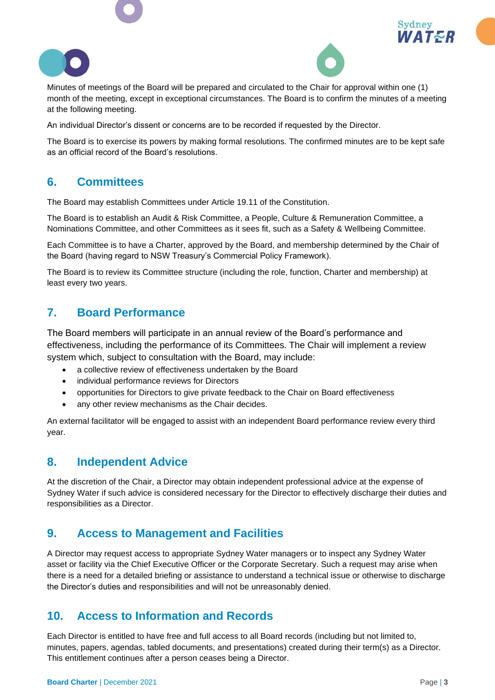





Minutes of meetings of the Board will be prepared and circulated to the Chair for approval within one (1) month of the meeting, except in exceptional circumstances. The Board is to confirm the minutes of a meeting at the following meeting.

An individual Director's dissent or concerns are to be recorded if requested by the Director.

The Board is to exercise its powers by making formal resolutions. The confirmed minutes are to be kept safe as an official record of the Board's resolutions.

## **6. Committees**

The Board may establish Committees under Article 19.11 of the Constitution.

The Board is to establish an Audit & Risk Committee, a People, Culture & Remuneration Committee, a Nominations Committee, and other Committees as it sees fit, such as a Safety & Wellbeing Committee.

Each Committee is to have a Charter, approved by the Board, and membership determined by the Chair of the Board (having regard to NSW Treasury's Commercial Policy Framework).

The Board is to review its Committee structure (including the role, function, Charter and membership) at least every two years.

## **7. Board Performance**

The Board members will participate in an annual review of the Board's performance and effectiveness, including the performance of its Committees. The Chair will implement a review system which, subject to consultation with the Board, may include:

- a collective review of effectiveness undertaken by the Board
- individual performance reviews for Directors
- opportunities for Directors to give private feedback to the Chair on Board effectiveness
- any other review mechanisms as the Chair decides.

An external facilitator will be engaged to assist with an independent Board performance review every third year.

## **8. Independent Advice**

At the discretion of the Chair, a Director may obtain independent professional advice at the expense of Sydney Water if such advice is considered necessary for the Director to effectively discharge their duties and responsibilities as a Director.

## **9. Access to Management and Facilities**

A Director may request access to appropriate Sydney Water managers or to inspect any Sydney Water asset or facility via the Chief Executive Officer or the Corporate Secretary. Such a request may arise when there is a need for a detailed briefing or assistance to understand a technical issue or otherwise to discharge the Director's duties and responsibilities and will not be unreasonably denied.

## **10. Access to Information and Records**

Each Director is entitled to have free and full access to all Board records (including but not limited to, minutes, papers, agendas, tabled documents, and presentations) created during their term(s) as a Director. This entitlement continues after a person ceases being a Director.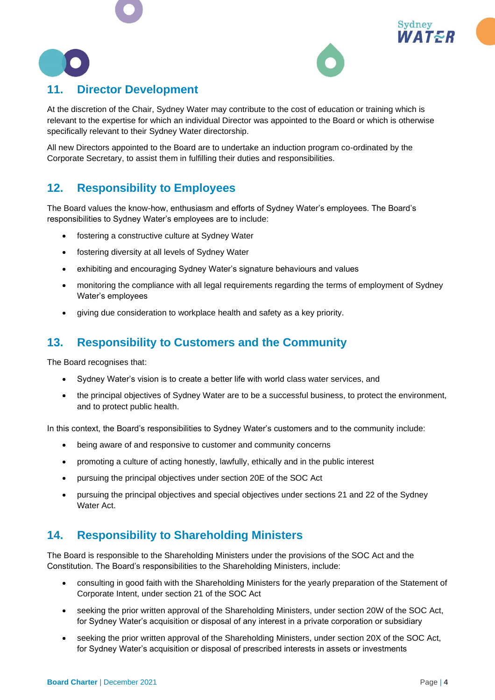

# **11. Director Development**

At the discretion of the Chair, Sydney Water may contribute to the cost of education or training which is relevant to the expertise for which an individual Director was appointed to the Board or which is otherwise specifically relevant to their Sydney Water directorship.

All new Directors appointed to the Board are to undertake an induction program co-ordinated by the Corporate Secretary, to assist them in fulfilling their duties and responsibilities.

## **12. Responsibility to Employees**

The Board values the know-how, enthusiasm and efforts of Sydney Water's employees. The Board's responsibilities to Sydney Water's employees are to include:

- fostering a constructive culture at Sydney Water
- fostering diversity at all levels of Sydney Water
- exhibiting and encouraging Sydney Water's signature behaviours and values
- monitoring the compliance with all legal requirements regarding the terms of employment of Sydney Water's employees
- giving due consideration to workplace health and safety as a key priority.

## **13. Responsibility to Customers and the Community**

The Board recognises that:

- Sydney Water's vision is to create a better life with world class water services, and
- the principal objectives of Sydney Water are to be a successful business, to protect the environment, and to protect public health.

In this context, the Board's responsibilities to Sydney Water's customers and to the community include:

- being aware of and responsive to customer and community concerns
- promoting a culture of acting honestly, lawfully, ethically and in the public interest
- pursuing the principal objectives under section 20E of the SOC Act
- pursuing the principal objectives and special objectives under sections 21 and 22 of the Sydney Water Act.

## **14. Responsibility to Shareholding Ministers**

The Board is responsible to the Shareholding Ministers under the provisions of the SOC Act and the Constitution. The Board's responsibilities to the Shareholding Ministers, include:

- consulting in good faith with the Shareholding Ministers for the yearly preparation of the Statement of Corporate Intent, under section 21 of the SOC Act
- seeking the prior written approval of the Shareholding Ministers, under section 20W of the SOC Act, for Sydney Water's acquisition or disposal of any interest in a private corporation or subsidiary
- seeking the prior written approval of the Shareholding Ministers, under section 20X of the SOC Act, for Sydney Water's acquisition or disposal of prescribed interests in assets or investments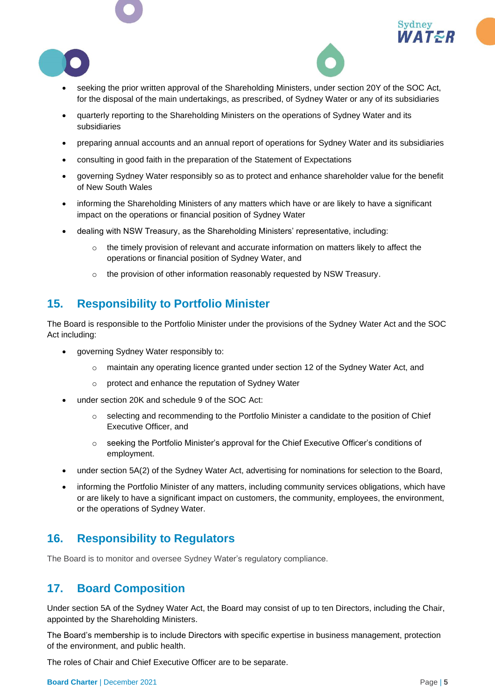



- seeking the prior written approval of the Shareholding Ministers, under section 20Y of the SOC Act, for the disposal of the main undertakings, as prescribed, of Sydney Water or any of its subsidiaries
- quarterly reporting to the Shareholding Ministers on the operations of Sydney Water and its subsidiaries
- preparing annual accounts and an annual report of operations for Sydney Water and its subsidiaries
- consulting in good faith in the preparation of the Statement of Expectations
- governing Sydney Water responsibly so as to protect and enhance shareholder value for the benefit of New South Wales
- informing the Shareholding Ministers of any matters which have or are likely to have a significant impact on the operations or financial position of Sydney Water
- dealing with NSW Treasury, as the Shareholding Ministers' representative, including:
	- $\circ$  the timely provision of relevant and accurate information on matters likely to affect the operations or financial position of Sydney Water, and
	- o the provision of other information reasonably requested by NSW Treasury.

## **15. Responsibility to Portfolio Minister**

The Board is responsible to the Portfolio Minister under the provisions of the Sydney Water Act and the SOC Act including:

- governing Sydney Water responsibly to:
	- o maintain any operating licence granted under section 12 of the Sydney Water Act, and
	- o protect and enhance the reputation of Sydney Water
- under section 20K and schedule 9 of the SOC Act:
	- $\circ$  selecting and recommending to the Portfolio Minister a candidate to the position of Chief Executive Officer, and
	- o seeking the Portfolio Minister's approval for the Chief Executive Officer's conditions of employment.
- under section 5A(2) of the Sydney Water Act, advertising for nominations for selection to the Board,
- informing the Portfolio Minister of any matters, including community services obligations, which have or are likely to have a significant impact on customers, the community, employees, the environment, or the operations of Sydney Water.

## **16. Responsibility to Regulators**

The Board is to monitor and oversee Sydney Water's regulatory compliance.

#### **17. Board Composition**

Under section 5A of the Sydney Water Act, the Board may consist of up to ten Directors, including the Chair, appointed by the Shareholding Ministers.

The Board's membership is to include Directors with specific expertise in business management, protection of the environment, and public health.

The roles of Chair and Chief Executive Officer are to be separate.

**Board Charter** | December 2021 **Page | 5 Page | 5**